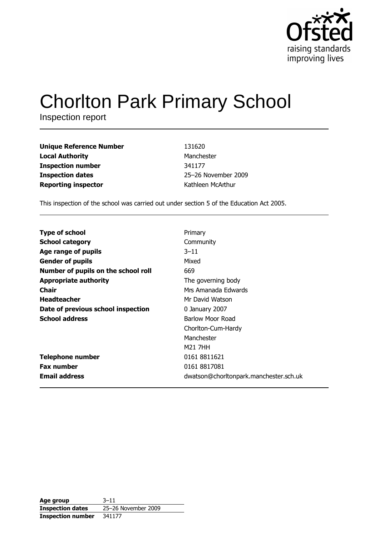

# **Chorlton Park Primary School**

Inspection report

| Unique Reference Number    | 131620              |
|----------------------------|---------------------|
| Local Authority            | Manchester          |
| Inspection number          | 341177              |
| <b>Inspection dates</b>    | 25-26 November 2009 |
| <b>Reporting inspector</b> | Kathleen McArthur   |

This inspection of the school was carried out under section 5 of the Education Act 2005.

| <b>Type of school</b>               | Primary                                |
|-------------------------------------|----------------------------------------|
| <b>School category</b>              | Community                              |
| Age range of pupils                 | $3 - 11$                               |
| <b>Gender of pupils</b>             | Mixed                                  |
| Number of pupils on the school roll | 669                                    |
| <b>Appropriate authority</b>        | The governing body                     |
| <b>Chair</b>                        | Mrs Amanada Edwards                    |
| <b>Headteacher</b>                  | Mr David Watson                        |
| Date of previous school inspection  | 0 January 2007                         |
| <b>School address</b>               | Barlow Moor Road                       |
|                                     | Chorlton-Cum-Hardy                     |
|                                     | Manchester                             |
|                                     | M21 7HH                                |
| Telephone number                    | 0161 8811621                           |
| <b>Fax number</b>                   | 0161 8817081                           |
| <b>Email address</b>                | dwatson@chorltonpark.manchester.sch.uk |

| Age group                | $3 - 11$            |
|--------------------------|---------------------|
| <b>Inspection dates</b>  | 25-26 November 2009 |
| <b>Inspection number</b> | 341177              |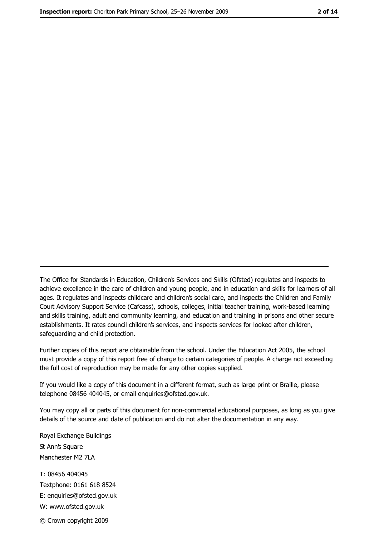The Office for Standards in Education, Children's Services and Skills (Ofsted) regulates and inspects to achieve excellence in the care of children and young people, and in education and skills for learners of all ages. It regulates and inspects childcare and children's social care, and inspects the Children and Family Court Advisory Support Service (Cafcass), schools, colleges, initial teacher training, work-based learning and skills training, adult and community learning, and education and training in prisons and other secure establishments. It rates council children's services, and inspects services for looked after children, safequarding and child protection.

Further copies of this report are obtainable from the school. Under the Education Act 2005, the school must provide a copy of this report free of charge to certain categories of people. A charge not exceeding the full cost of reproduction may be made for any other copies supplied.

If you would like a copy of this document in a different format, such as large print or Braille, please telephone 08456 404045, or email enquiries@ofsted.gov.uk.

You may copy all or parts of this document for non-commercial educational purposes, as long as you give details of the source and date of publication and do not alter the documentation in any way.

Royal Exchange Buildings St Ann's Square Manchester M2 7LA T: 08456 404045 Textphone: 0161 618 8524 E: enquiries@ofsted.gov.uk W: www.ofsted.gov.uk © Crown copyright 2009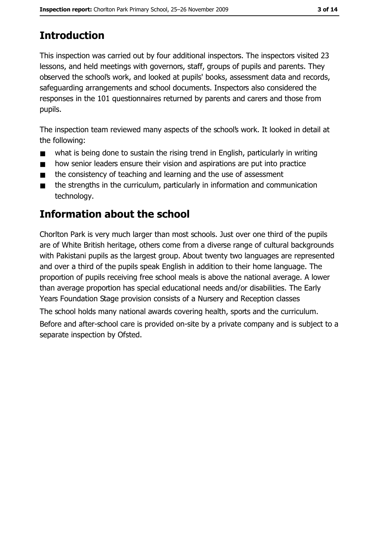# **Introduction**

This inspection was carried out by four additional inspectors. The inspectors visited 23 lessons, and held meetings with governors, staff, groups of pupils and parents. They observed the school's work, and looked at pupils' books, assessment data and records, safeguarding arrangements and school documents. Inspectors also considered the responses in the 101 questionnaires returned by parents and carers and those from pupils.

The inspection team reviewed many aspects of the school's work. It looked in detail at the following:

- what is being done to sustain the rising trend in English, particularly in writing  $\blacksquare$
- how senior leaders ensure their vision and aspirations are put into practice  $\blacksquare$
- the consistency of teaching and learning and the use of assessment  $\blacksquare$
- the strengths in the curriculum, particularly in information and communication  $\blacksquare$ technology.

# **Information about the school**

Chorlton Park is very much larger than most schools. Just over one third of the pupils are of White British heritage, others come from a diverse range of cultural backgrounds with Pakistani pupils as the largest group. About twenty two languages are represented and over a third of the pupils speak English in addition to their home language. The proportion of pupils receiving free school meals is above the national average. A lower than average proportion has special educational needs and/or disabilities. The Early Years Foundation Stage provision consists of a Nursery and Reception classes The school holds many national awards covering health, sports and the curriculum. Before and after-school care is provided on-site by a private company and is subject to a separate inspection by Ofsted.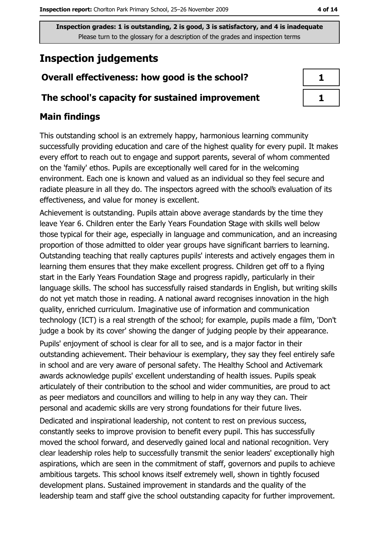# **Inspection judgements**

## Overall effectiveness: how good is the school?

#### The school's capacity for sustained improvement

## **Main findings**

This outstanding school is an extremely happy, harmonious learning community successfully providing education and care of the highest quality for every pupil. It makes every effort to reach out to engage and support parents, several of whom commented on the 'family' ethos. Pupils are exceptionally well cared for in the welcoming environment. Each one is known and valued as an individual so they feel secure and radiate pleasure in all they do. The inspectors agreed with the school's evaluation of its effectiveness, and value for money is excellent.

Achievement is outstanding. Pupils attain above average standards by the time they leave Year 6. Children enter the Early Years Foundation Stage with skills well below those typical for their age, especially in language and communication, and an increasing proportion of those admitted to older year groups have significant barriers to learning. Outstanding teaching that really captures pupils' interests and actively engages them in learning them ensures that they make excellent progress. Children get off to a flying start in the Early Years Foundation Stage and progress rapidly, particularly in their language skills. The school has successfully raised standards in English, but writing skills do not yet match those in reading. A national award recognises innovation in the high quality, enriched curriculum. Imaginative use of information and communication technology (ICT) is a real strength of the school; for example, pupils made a film, 'Don't judge a book by its cover' showing the danger of judging people by their appearance.

Pupils' enjoyment of school is clear for all to see, and is a major factor in their outstanding achievement. Their behaviour is exemplary, they say they feel entirely safe in school and are very aware of personal safety. The Healthy School and Activemark awards acknowledge pupils' excellent understanding of health issues. Pupils speak articulately of their contribution to the school and wider communities, are proud to act as peer mediators and councillors and willing to help in any way they can. Their personal and academic skills are very strong foundations for their future lives.

Dedicated and inspirational leadership, not content to rest on previous success, constantly seeks to improve provision to benefit every pupil. This has successfully moved the school forward, and deservedly gained local and national recognition. Very clear leadership roles help to successfully transmit the senior leaders' exceptionally high aspirations, which are seen in the commitment of staff, governors and pupils to achieve ambitious targets. This school knows itself extremely well, shown in tightly focused development plans. Sustained improvement in standards and the quality of the leadership team and staff give the school outstanding capacity for further improvement.

| ٦ |  |
|---|--|
| ٦ |  |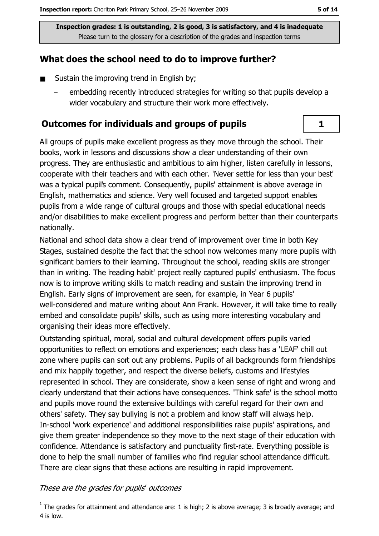## What does the school need to do to improve further?

- Sustain the improving trend in English by;  $\blacksquare$ 
	- embedding recently introduced strategies for writing so that pupils develop a wider vocabulary and structure their work more effectively.

### **Outcomes for individuals and groups of pupils**

All groups of pupils make excellent progress as they move through the school. Their books, work in lessons and discussions show a clear understanding of their own progress. They are enthusiastic and ambitious to aim higher, listen carefully in lessons, cooperate with their teachers and with each other. 'Never settle for less than your best' was a typical pupil's comment. Consequently, pupils' attainment is above average in English, mathematics and science. Very well focused and targeted support enables pupils from a wide range of cultural groups and those with special educational needs and/or disabilities to make excellent progress and perform better than their counterparts nationally.

National and school data show a clear trend of improvement over time in both Key Stages, sustained despite the fact that the school now welcomes many more pupils with significant barriers to their learning. Throughout the school, reading skills are stronger than in writing. The 'reading habit' project really captured pupils' enthusiasm. The focus now is to improve writing skills to match reading and sustain the improving trend in English. Early signs of improvement are seen, for example, in Year 6 pupils' well-considered and mature writing about Ann Frank. However, it will take time to really embed and consolidate pupils' skills, such as using more interesting vocabulary and organising their ideas more effectively.

Outstanding spiritual, moral, social and cultural development offers pupils varied opportunities to reflect on emotions and experiences; each class has a 'LEAF' chill out zone where pupils can sort out any problems. Pupils of all backgrounds form friendships and mix happily together, and respect the diverse beliefs, customs and lifestyles represented in school. They are considerate, show a keen sense of right and wrong and clearly understand that their actions have consequences. 'Think safe' is the school motto and pupils move round the extensive buildings with careful regard for their own and others' safety. They say bullying is not a problem and know staff will always help. In-school 'work experience' and additional responsibilities raise pupils' aspirations, and give them greater independence so they move to the next stage of their education with confidence. Attendance is satisfactory and punctuality first-rate. Everything possible is done to help the small number of families who find regular school attendance difficult. There are clear signs that these actions are resulting in rapid improvement.

#### These are the grades for pupils' outcomes

 $\mathbf{1}$ 

 $\overline{1}$  The grades for attainment and attendance are: 1 is high; 2 is above average; 3 is broadly average; and 4 is low.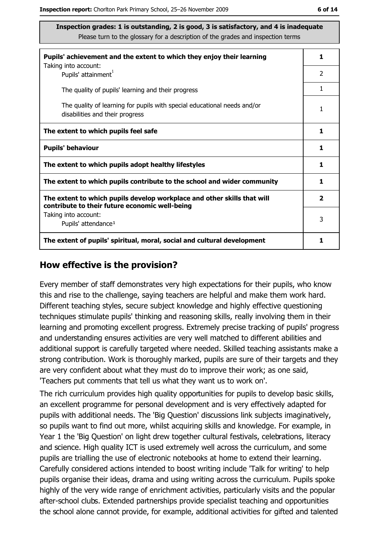| Pupils' achievement and the extent to which they enjoy their learning                                                     |                |
|---------------------------------------------------------------------------------------------------------------------------|----------------|
| Taking into account:<br>Pupils' attainment <sup>1</sup>                                                                   | $\overline{2}$ |
| The quality of pupils' learning and their progress                                                                        | 1              |
| The quality of learning for pupils with special educational needs and/or<br>disabilities and their progress               |                |
| The extent to which pupils feel safe                                                                                      | 1              |
| <b>Pupils' behaviour</b>                                                                                                  | 1              |
| The extent to which pupils adopt healthy lifestyles                                                                       | 1              |
| The extent to which pupils contribute to the school and wider community                                                   |                |
| The extent to which pupils develop workplace and other skills that will<br>contribute to their future economic well-being | $\mathbf{2}$   |
| Taking into account:                                                                                                      | 3              |
| Pupils' attendance <sup>1</sup>                                                                                           |                |
| The extent of pupils' spiritual, moral, social and cultural development                                                   | 1              |

#### How effective is the provision?

Every member of staff demonstrates very high expectations for their pupils, who know this and rise to the challenge, saying teachers are helpful and make them work hard. Different teaching styles, secure subject knowledge and highly effective questioning techniques stimulate pupils' thinking and reasoning skills, really involving them in their learning and promoting excellent progress. Extremely precise tracking of pupils' progress and understanding ensures activities are very well matched to different abilities and additional support is carefully targeted where needed. Skilled teaching assistants make a strong contribution. Work is thoroughly marked, pupils are sure of their targets and they are very confident about what they must do to improve their work; as one said, 'Teachers put comments that tell us what they want us to work on'.

The rich curriculum provides high quality opportunities for pupils to develop basic skills, an excellent programme for personal development and is very effectively adapted for pupils with additional needs. The 'Big Question' discussions link subjects imaginatively, so pupils want to find out more, whilst acquiring skills and knowledge. For example, in Year 1 the 'Big Question' on light drew together cultural festivals, celebrations, literacy and science. High quality ICT is used extremely well across the curriculum, and some pupils are trialling the use of electronic notebooks at home to extend their learning. Carefully considered actions intended to boost writing include 'Talk for writing' to help pupils organise their ideas, drama and using writing across the curriculum. Pupils spoke highly of the very wide range of enrichment activities, particularly visits and the popular after-school clubs. Extended partnerships provide specialist teaching and opportunities the school alone cannot provide, for example, additional activities for gifted and talented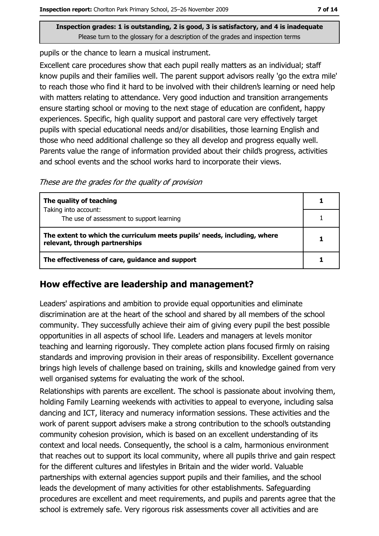pupils or the chance to learn a musical instrument.

Excellent care procedures show that each pupil really matters as an individual; staff know pupils and their families well. The parent support advisors really 'go the extra mile' to reach those who find it hard to be involved with their children's learning or need help with matters relating to attendance. Very good induction and transition arrangements ensure starting school or moving to the next stage of education are confident, happy experiences. Specific, high quality support and pastoral care very effectively target pupils with special educational needs and/or disabilities, those learning English and those who need additional challenge so they all develop and progress equally well. Parents value the range of information provided about their child's progress, activities and school events and the school works hard to incorporate their views.

These are the grades for the quality of provision

| The quality of teaching                                                                                    |  |
|------------------------------------------------------------------------------------------------------------|--|
| Taking into account:<br>The use of assessment to support learning                                          |  |
|                                                                                                            |  |
| The extent to which the curriculum meets pupils' needs, including, where<br>relevant, through partnerships |  |
| The effectiveness of care, guidance and support                                                            |  |

# How effective are leadership and management?

Leaders' aspirations and ambition to provide equal opportunities and eliminate discrimination are at the heart of the school and shared by all members of the school community. They successfully achieve their aim of giving every pupil the best possible opportunities in all aspects of school life. Leaders and managers at levels monitor teaching and learning rigorously. They complete action plans focused firmly on raising standards and improving provision in their areas of responsibility. Excellent governance brings high levels of challenge based on training, skills and knowledge gained from very well organised systems for evaluating the work of the school.

Relationships with parents are excellent. The school is passionate about involving them, holding Family Learning weekends with activities to appeal to everyone, including salsa dancing and ICT, literacy and numeracy information sessions. These activities and the work of parent support advisers make a strong contribution to the school's outstanding community cohesion provision, which is based on an excellent understanding of its context and local needs. Consequently, the school is a calm, harmonious environment that reaches out to support its local community, where all pupils thrive and gain respect for the different cultures and lifestyles in Britain and the wider world. Valuable partnerships with external agencies support pupils and their families, and the school leads the development of many activities for other establishments. Safeguarding procedures are excellent and meet requirements, and pupils and parents agree that the school is extremely safe. Very rigorous risk assessments cover all activities and are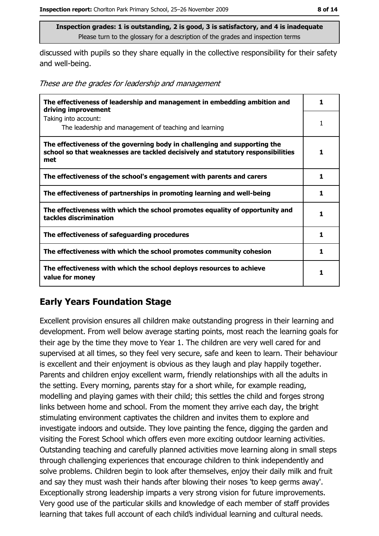discussed with pupils so they share equally in the collective responsibility for their safety and well-being.

These are the grades for leadership and management

| The effectiveness of leadership and management in embedding ambition and<br>driving improvement                                                                     | 1 |
|---------------------------------------------------------------------------------------------------------------------------------------------------------------------|---|
| Taking into account:<br>The leadership and management of teaching and learning                                                                                      |   |
| The effectiveness of the governing body in challenging and supporting the<br>school so that weaknesses are tackled decisively and statutory responsibilities<br>met | 1 |
| The effectiveness of the school's engagement with parents and carers                                                                                                | 1 |
| The effectiveness of partnerships in promoting learning and well-being                                                                                              | 1 |
| The effectiveness with which the school promotes equality of opportunity and<br>tackles discrimination                                                              | 1 |
| The effectiveness of safeguarding procedures                                                                                                                        | 1 |
| The effectiveness with which the school promotes community cohesion                                                                                                 | 1 |
| The effectiveness with which the school deploys resources to achieve<br>value for money                                                                             |   |

## **Early Years Foundation Stage**

Excellent provision ensures all children make outstanding progress in their learning and development. From well below average starting points, most reach the learning goals for their age by the time they move to Year 1. The children are very well cared for and supervised at all times, so they feel very secure, safe and keen to learn. Their behaviour is excellent and their enjoyment is obvious as they laugh and play happily together. Parents and children enjoy excellent warm, friendly relationships with all the adults in the setting. Every morning, parents stay for a short while, for example reading, modelling and playing games with their child; this settles the child and forges strong links between home and school. From the moment they arrive each day, the bright stimulating environment captivates the children and invites them to explore and investigate indoors and outside. They love painting the fence, digging the garden and visiting the Forest School which offers even more exciting outdoor learning activities. Outstanding teaching and carefully planned activities move learning along in small steps through challenging experiences that encourage children to think independently and solve problems. Children begin to look after themselves, enjoy their daily milk and fruit and say they must wash their hands after blowing their noses 'to keep germs away'. Exceptionally strong leadership imparts a very strong vision for future improvements. Very good use of the particular skills and knowledge of each member of staff provides learning that takes full account of each child's individual learning and cultural needs.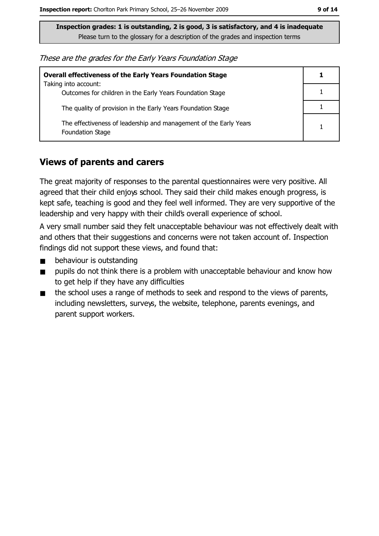These are the grades for the Early Years Foundation Stage

| <b>Overall effectiveness of the Early Years Foundation Stage</b>                      |  |
|---------------------------------------------------------------------------------------|--|
| Taking into account:<br>Outcomes for children in the Early Years Foundation Stage     |  |
| The quality of provision in the Early Years Foundation Stage                          |  |
| The effectiveness of leadership and management of the Early Years<br>Foundation Stage |  |

#### **Views of parents and carers**

The great majority of responses to the parental questionnaires were very positive. All agreed that their child enjoys school. They said their child makes enough progress, is kept safe, teaching is good and they feel well informed. They are very supportive of the leadership and very happy with their child's overall experience of school.

A very small number said they felt unacceptable behaviour was not effectively dealt with and others that their suggestions and concerns were not taken account of. Inspection findings did not support these views, and found that:

- $\blacksquare$ behaviour is outstanding
- pupils do not think there is a problem with unacceptable behaviour and know how  $\blacksquare$ to get help if they have any difficulties
- the school uses a range of methods to seek and respond to the views of parents,  $\blacksquare$ including newsletters, surveys, the website, telephone, parents evenings, and parent support workers.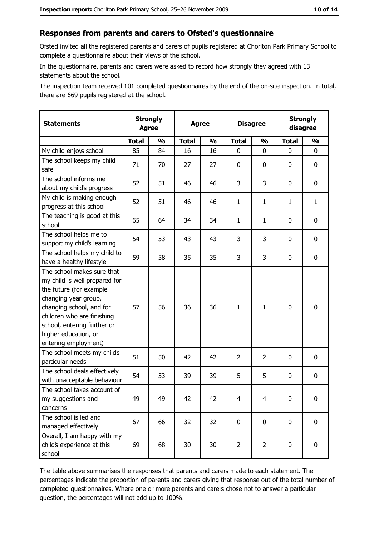#### Responses from parents and carers to Ofsted's questionnaire

Ofsted invited all the registered parents and carers of pupils registered at Chorlton Park Primary School to complete a questionnaire about their views of the school.

In the questionnaire, parents and carers were asked to record how strongly they agreed with 13 statements about the school.

The inspection team received 101 completed questionnaires by the end of the on-site inspection. In total, there are 669 pupils registered at the school.

| <b>Statements</b>                                                                                                                                                                                                                                       | <b>Strongly</b><br><b>Agree</b> |               | <b>Agree</b> |               |                | <b>Disagree</b> |              | <b>Strongly</b><br>disagree |  |
|---------------------------------------------------------------------------------------------------------------------------------------------------------------------------------------------------------------------------------------------------------|---------------------------------|---------------|--------------|---------------|----------------|-----------------|--------------|-----------------------------|--|
|                                                                                                                                                                                                                                                         | <b>Total</b>                    | $\frac{0}{0}$ | <b>Total</b> | $\frac{0}{0}$ | <b>Total</b>   | $\frac{1}{2}$   | <b>Total</b> | $\frac{1}{2}$               |  |
| My child enjoys school                                                                                                                                                                                                                                  | 85                              | 84            | 16           | 16            | 0              | 0               | 0            | 0                           |  |
| The school keeps my child<br>safe                                                                                                                                                                                                                       | 71                              | 70            | 27           | 27            | $\mathbf 0$    | 0               | 0            | $\mathbf 0$                 |  |
| The school informs me<br>about my child's progress                                                                                                                                                                                                      | 52                              | 51            | 46           | 46            | 3              | 3               | 0            | 0                           |  |
| My child is making enough<br>progress at this school                                                                                                                                                                                                    | 52                              | 51            | 46           | 46            | $\mathbf{1}$   | $\mathbf{1}$    | 1            | $\mathbf{1}$                |  |
| The teaching is good at this<br>school                                                                                                                                                                                                                  | 65                              | 64            | 34           | 34            | $\mathbf{1}$   | $\mathbf{1}$    | 0            | 0                           |  |
| The school helps me to<br>support my child's learning                                                                                                                                                                                                   | 54                              | 53            | 43           | 43            | 3              | 3               | 0            | 0                           |  |
| The school helps my child to<br>have a healthy lifestyle                                                                                                                                                                                                | 59                              | 58            | 35           | 35            | 3              | 3               | 0            | $\mathbf 0$                 |  |
| The school makes sure that<br>my child is well prepared for<br>the future (for example<br>changing year group,<br>changing school, and for<br>children who are finishing<br>school, entering further or<br>higher education, or<br>entering employment) | 57                              | 56            | 36           | 36            | $\mathbf{1}$   | $\mathbf{1}$    | $\mathbf 0$  | $\mathbf 0$                 |  |
| The school meets my child's<br>particular needs                                                                                                                                                                                                         | 51                              | 50            | 42           | 42            | $\overline{2}$ | $\overline{2}$  | 0            | 0                           |  |
| The school deals effectively<br>with unacceptable behaviour                                                                                                                                                                                             | 54                              | 53            | 39           | 39            | 5              | 5               | 0            | 0                           |  |
| The school takes account of<br>my suggestions and<br>concerns                                                                                                                                                                                           | 49                              | 49            | 42           | 42            | $\overline{4}$ | 4               | 0            | $\boldsymbol{0}$            |  |
| The school is led and<br>managed effectively                                                                                                                                                                                                            | 67                              | 66            | 32           | 32            | $\mathbf 0$    | $\mathbf 0$     | $\mathbf 0$  | $\mathbf 0$                 |  |
| Overall, I am happy with my<br>child's experience at this<br>school                                                                                                                                                                                     | 69                              | 68            | 30           | 30            | $\overline{2}$ | $\overline{2}$  | 0            | $\mathbf 0$                 |  |

The table above summarises the responses that parents and carers made to each statement. The percentages indicate the proportion of parents and carers giving that response out of the total number of completed questionnaires. Where one or more parents and carers chose not to answer a particular question, the percentages will not add up to 100%.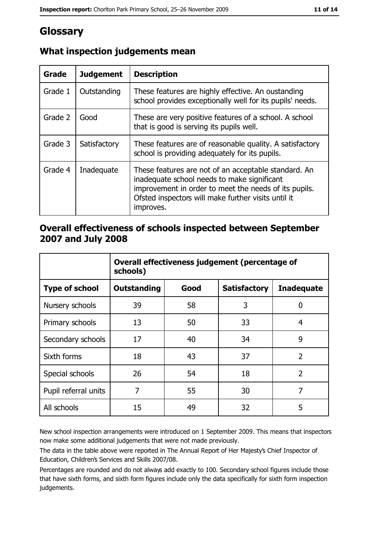# Glossary

| Grade   | <b>Judgement</b> | <b>Description</b>                                                                                                                                                                                                               |
|---------|------------------|----------------------------------------------------------------------------------------------------------------------------------------------------------------------------------------------------------------------------------|
| Grade 1 | Outstanding      | These features are highly effective. An oustanding<br>school provides exceptionally well for its pupils' needs.                                                                                                                  |
| Grade 2 | Good             | These are very positive features of a school. A school<br>that is good is serving its pupils well.                                                                                                                               |
| Grade 3 | Satisfactory     | These features are of reasonable quality. A satisfactory<br>school is providing adequately for its pupils.                                                                                                                       |
| Grade 4 | Inadequate       | These features are not of an acceptable standard. An<br>inadequate school needs to make significant<br>improvement in order to meet the needs of its pupils.<br>Ofsted inspectors will make further visits until it<br>improves. |

# What inspection judgements mean

# Overall effectiveness of schools inspected between September 2007 and July 2008

|                       | Overall effectiveness judgement (percentage of<br>schools) |      |                     |                   |
|-----------------------|------------------------------------------------------------|------|---------------------|-------------------|
| <b>Type of school</b> | <b>Outstanding</b>                                         | Good | <b>Satisfactory</b> | <b>Inadequate</b> |
| Nursery schools       | 39                                                         | 58   | 3                   | 0                 |
| Primary schools       | 13                                                         | 50   | 33                  | 4                 |
| Secondary schools     | 17                                                         | 40   | 34                  | 9                 |
| Sixth forms           | 18                                                         | 43   | 37                  | $\overline{2}$    |
| Special schools       | 26                                                         | 54   | 18                  | $\overline{2}$    |
| Pupil referral units  | 7                                                          | 55   | 30                  | 7                 |
| All schools           | 15                                                         | 49   | 32                  | 5                 |

New school inspection arrangements were introduced on 1 September 2009. This means that inspectors now make some additional judgements that were not made previously.

The data in the table above were reported in The Annual Report of Her Majesty's Chief Inspector of Education, Children's Services and Skills 2007/08.

Percentages are rounded and do not always add exactly to 100. Secondary school figures include those that have sixth forms, and sixth form figures include only the data specifically for sixth form inspection judgements.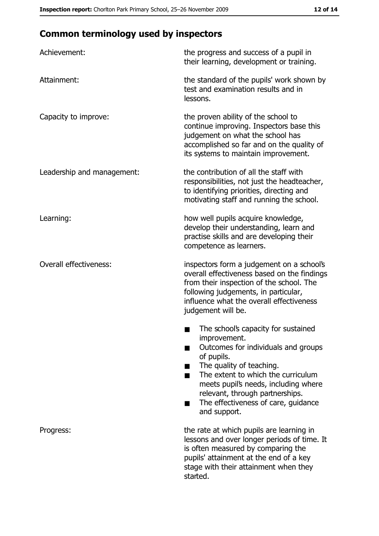# **Common terminology used by inspectors**

| Achievement:                  | the progress and success of a pupil in<br>their learning, development or training.                                                                                                                                                                                                                           |
|-------------------------------|--------------------------------------------------------------------------------------------------------------------------------------------------------------------------------------------------------------------------------------------------------------------------------------------------------------|
| Attainment:                   | the standard of the pupils' work shown by<br>test and examination results and in<br>lessons.                                                                                                                                                                                                                 |
| Capacity to improve:          | the proven ability of the school to<br>continue improving. Inspectors base this<br>judgement on what the school has<br>accomplished so far and on the quality of<br>its systems to maintain improvement.                                                                                                     |
| Leadership and management:    | the contribution of all the staff with<br>responsibilities, not just the headteacher,<br>to identifying priorities, directing and<br>motivating staff and running the school.                                                                                                                                |
| Learning:                     | how well pupils acquire knowledge,<br>develop their understanding, learn and<br>practise skills and are developing their<br>competence as learners.                                                                                                                                                          |
| <b>Overall effectiveness:</b> | inspectors form a judgement on a school's<br>overall effectiveness based on the findings<br>from their inspection of the school. The<br>following judgements, in particular,<br>influence what the overall effectiveness<br>judgement will be.                                                               |
|                               | The school's capacity for sustained<br>improvement.<br>Outcomes for individuals and groups<br>of pupils.<br>The quality of teaching.<br>The extent to which the curriculum<br>meets pupil's needs, including where<br>relevant, through partnerships.<br>The effectiveness of care, guidance<br>and support. |
| Progress:                     | the rate at which pupils are learning in<br>lessons and over longer periods of time. It<br>is often measured by comparing the<br>pupils' attainment at the end of a key<br>stage with their attainment when they<br>started.                                                                                 |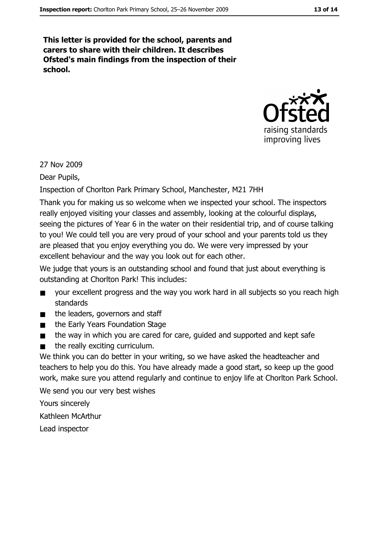This letter is provided for the school, parents and carers to share with their children. It describes Ofsted's main findings from the inspection of their school.



27 Nov 2009

Dear Pupils,

Inspection of Chorlton Park Primary School, Manchester, M21 7HH

Thank you for making us so welcome when we inspected your school. The inspectors really enjoyed visiting your classes and assembly, looking at the colourful displays, seeing the pictures of Year 6 in the water on their residential trip, and of course talking to you! We could tell you are very proud of your school and your parents told us they are pleased that you enjoy everything you do. We were very impressed by your excellent behaviour and the way you look out for each other.

We judge that yours is an outstanding school and found that just about everything is outstanding at Chorlton Park! This includes:

- your excellent progress and the way you work hard in all subjects so you reach high  $\blacksquare$ standards
- the leaders, governors and staff  $\blacksquare$
- the Early Years Foundation Stage  $\blacksquare$
- the way in which you are cared for care, guided and supported and kept safe  $\blacksquare$
- the really exciting curriculum.  $\blacksquare$

We think you can do better in your writing, so we have asked the headteacher and teachers to help you do this. You have already made a good start, so keep up the good work, make sure you attend regularly and continue to enjoy life at Chorlton Park School. We send you our very best wishes

Yours sincerely Kathleen McArthur Lead inspector